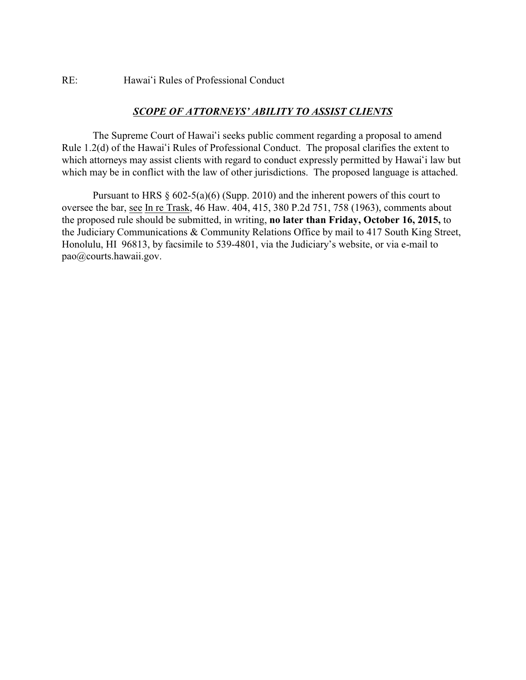## RE: Hawai'i Rules of Professional Conduct

## *SCOPE OF ATTORNEYS' ABILITY TO ASSIST CLIENTS*

The Supreme Court of Hawai'i seeks public comment regarding a proposal to amend Rule 1.2(d) of the Hawai'i Rules of Professional Conduct. The proposal clarifies the extent to which attorneys may assist clients with regard to conduct expressly permitted by Hawai'i law but which may be in conflict with the law of other jurisdictions. The proposed language is attached.

Pursuant to HRS  $\S$  602-5(a)(6) (Supp. 2010) and the inherent powers of this court to oversee the bar, see In re Trask, 46 Haw. 404, 415, 380 P.2d 751, 758 (1963), comments about the proposed rule should be submitted, in writing, **no later than Friday, October 16, 2015,** to the Judiciary Communications & Community Relations Office by mail to 417 South King Street, Honolulu, HI 96813, by facsimile to 539-4801, via the Judiciary's website, or via e-mail to pao@courts.hawaii.gov.